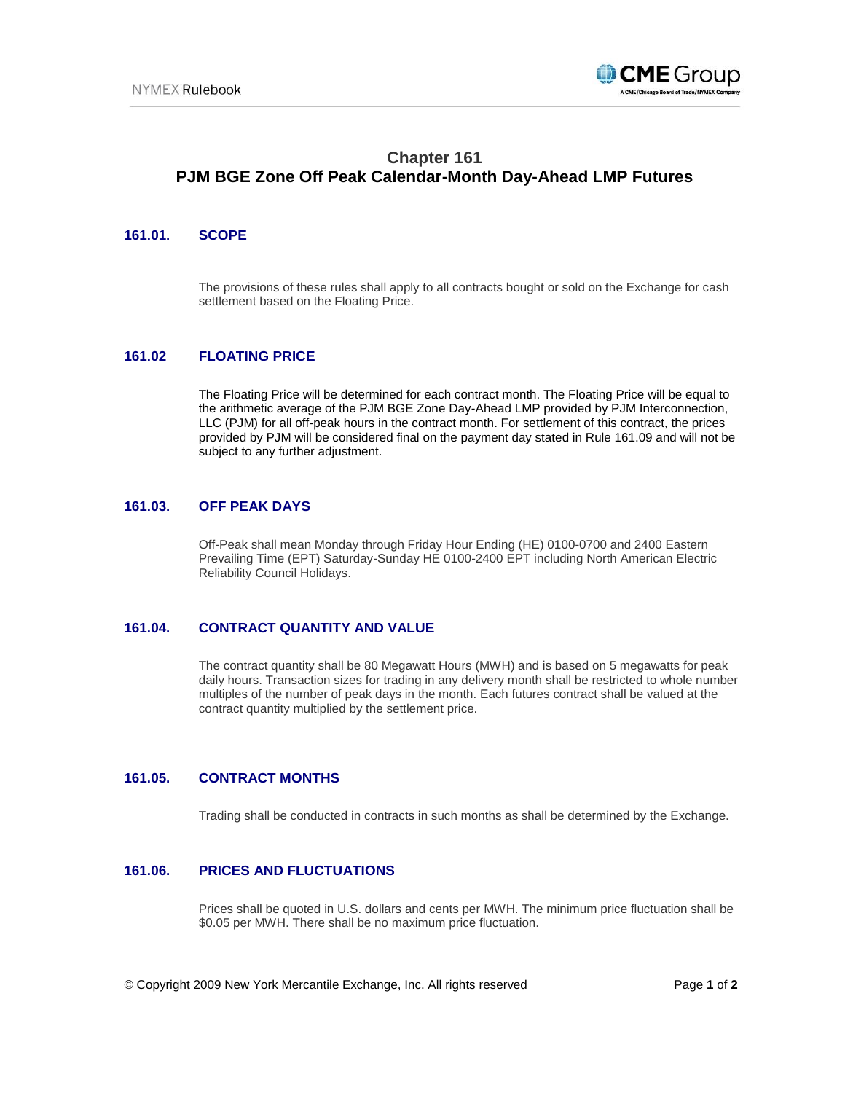

# **Chapter 161 PJM BGE Zone Off Peak Calendar-Month Day-Ahead LMP Futures**

# **161.01. SCOPE**

The provisions of these rules shall apply to all contracts bought or sold on the Exchange for cash settlement based on the Floating Price.

# **161.02 FLOATING PRICE**

The Floating Price will be determined for each contract month. The Floating Price will be equal to the arithmetic average of the PJM BGE Zone Day-Ahead LMP provided by PJM Interconnection, LLC (PJM) for all off-peak hours in the contract month. For settlement of this contract, the prices provided by PJM will be considered final on the payment day stated in Rule 161.09 and will not be subject to any further adjustment.

#### **161.03. OFF PEAK DAYS**

Off-Peak shall mean Monday through Friday Hour Ending (HE) 0100-0700 and 2400 Eastern Prevailing Time (EPT) Saturday-Sunday HE 0100-2400 EPT including North American Electric Reliability Council Holidays.

## **161.04. CONTRACT QUANTITY AND VALUE**

The contract quantity shall be 80 Megawatt Hours (MWH) and is based on 5 megawatts for peak daily hours. Transaction sizes for trading in any delivery month shall be restricted to whole number multiples of the number of peak days in the month. Each futures contract shall be valued at the contract quantity multiplied by the settlement price.

### **161.05. CONTRACT MONTHS**

Trading shall be conducted in contracts in such months as shall be determined by the Exchange.

#### **161.06. PRICES AND FLUCTUATIONS**

Prices shall be quoted in U.S. dollars and cents per MWH. The minimum price fluctuation shall be \$0.05 per MWH. There shall be no maximum price fluctuation.